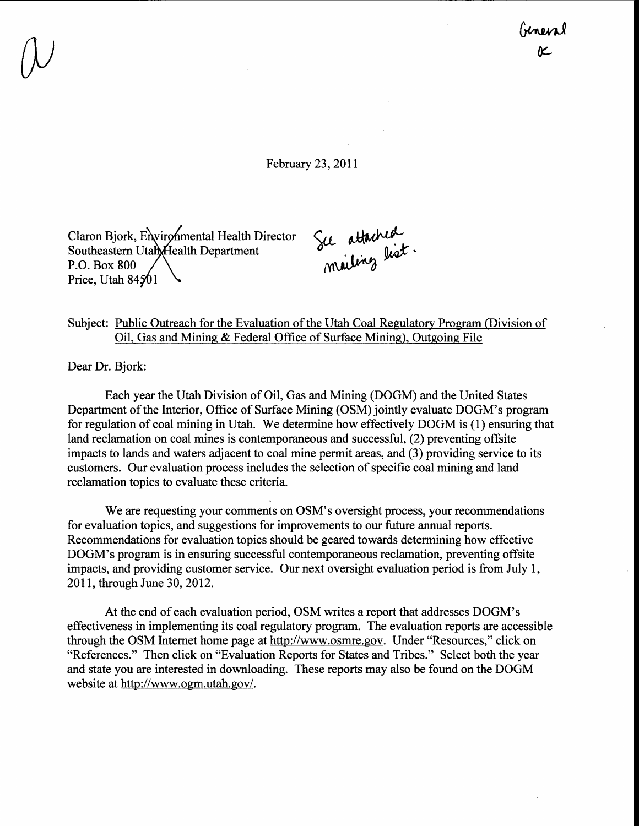February 23,2011

Claron Bjork, Environmental Health Director Southeastern Utah Health Department P.O. Box 800 Price, Utah  $84501$ 

Sie attached mailing "

## Subject: Public Outreach for the Evaluation of the Utah Coal Regulatory Program (Division of Oil, Gas and Mining & Federal Office of Surface Mining), Outgoing File

Dear Dr. Bjork:

Each year the Utah Division of Oil, Gas and Mining (DOGM) and the United States Department of the Interior, Office of Surface Mining (OSM) jointly evaluate DOGM's program for regulation of coal mining in Utah. We determine how effectively DOGM is (1) ensuring that land reclamation on coal mines is contemporaneous and successful, (2) preventing offsite impacts to lands and waters adjacent to coal mine permit areas, and (3) providing service to its customers. Our evaluation process includes the selection of specific coal mining and land reclamation topics to evaluate these criteria.

We are requesting your comments on OSM's oversight process, your recommendations for evaluation topics, and suggestions for improvements to our future annual reports. Recommendations for evaluation topics should be geared towards determining how effective DOGM's program is in ensuring successful contemporaneous reclamation, preventing offsite impacts, and providing customer service. Our next oversight evaluation period is from July l, 2011, through June 30,2012.

At the end of each evaluation period, OSM writes a report that addresses DOGM's effectiveness in implementing its coal regulatory program. The evaluation reports are accessible through the OSM Internet home page at http://www.osmre.gov. Under "Resources," click on "References." Then click on "Evaluation Reports for States and Tribes." Select both the year and state you are interested in downloading. These reports may also be found on the DOGM website at http://www.ogm.utah.gov/.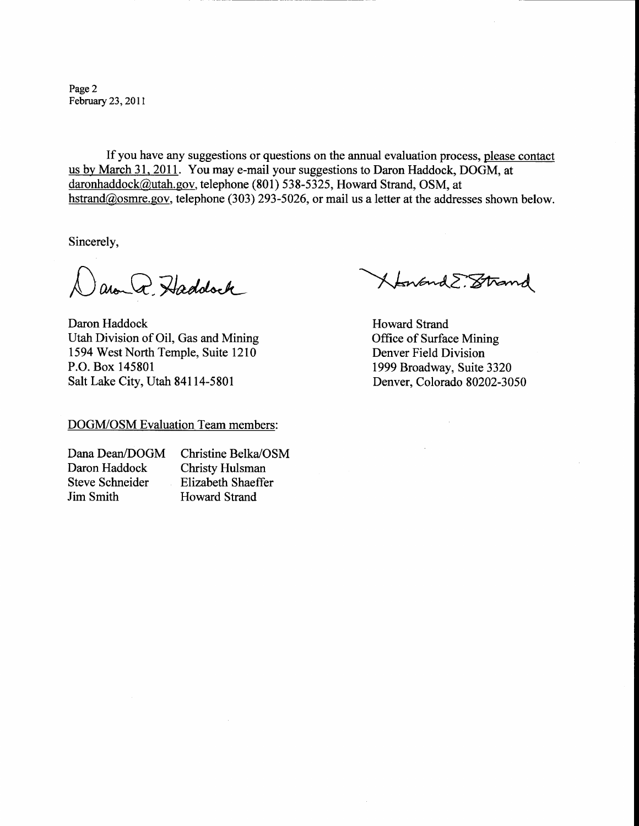Page 2 February 23,2011

If you have any suggestions or questions on the annual evaluation process, please contact us by March 31, 2011. You may e-mail your suggestions to Daron Haddock, DOGM, at daronhaddock@utah.gov, telephone (801) 538-5325, Howard Strand, OSM, at hstrand@osmre.gov, telephone (303) 293-5026, or mail us a letter at the addresses shown below.

Sincerely,

ano Q. Haddock

Daron Haddock Utah Division of Oil, Gas and Mining 1594 West North Temple, Suite 1210 P.O. Box 145801 Salt Lake City, Utah 84114-5801

DOGM/OSM Evaluation Team members:

Dana Dean/DOGM Christine Belka/OSM Daron Haddock Christy Hulsman<br>Steve Schneider Elizabeth Shaeffe Elizabeth Shaeffer Jim Smith Howard Strand

XtenandE. Strand

Howard Strand Office of Surface Mining Denver Field Division 1999 Broadway, Suite 3320 Denver, Colorado 80202-3050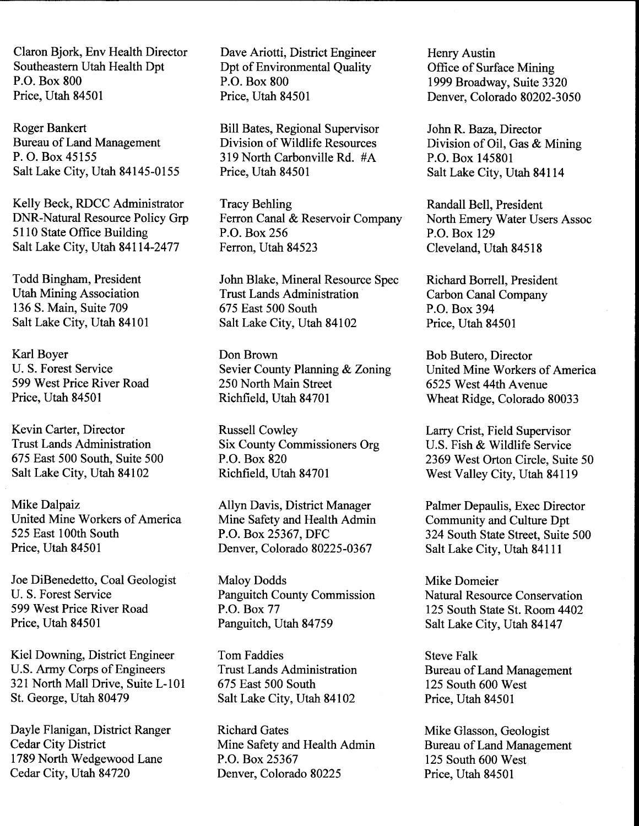Claron Bjork, Env Health Director Southeastern Utah Health Dpt P.O. Box 800 Price, Utah 84501

Roger Bankert Bureau of Land Management P. O. Box 45155 Salt Lake City, Utah 84145-0155

Kelly Beck, RDCC Administrator DNR-Natural Resource Policy Grp <sup>51</sup>l0 State Office Building Salt Lake City, Utah 84114-2477

Todd Bingham, President Utah Mining Association 136 S. Main, Suite 709 Salt Lake City, Utah 84101

Karl Boyer U. S. Forest Service 599 West Price River Road Price, Utah 84501

Kevin Carter, Director Trust Lands Administration 675 East 500 South, Suite 500 Salt Lake City, Utah 84102

Mike Dalpaiz United Mine Workers of America 525 East l00th South Price, Utah 84501

Joe DiBenedetto, Coal Geologist U. S. Forest Service 599 West Price River Road Price, Utah 84501

Kiel Downing, District Engineer U.S. Army Corps of Engineers 321 North Mall Drive, Suite L-101 St. George, Utah 80479

Dayle Flanigan, District Ranger Cedar City District 1789 North Wedgewood Lane Cedar City, Utah 84720

Dave Ariotti, District Engineer Dpt of Environmental Quality P.O. Box 800 Price, Utah 84501

Bill Bates, Regional Supervisor Division of Wildlife Resources <sup>3</sup>19 North Carbonville Rd. #A Price, Utah 84501

Tracy Behling Ferron Canal & Reservoir Company P.O. Box 256 Ferron, Utah 84523

John Blake, Mineral Resource Spec Trust Lands Administration 675 East 500 South Salt Lake City, Utah 84102

Don Brown Sevier County Planning & Zoning 250 North Main Street Richfield, Utah 84701

Russell Cowley Six County Commissioners Org P.O. Box 820 Richfield, Utah 84701

Allyn Davis, District Manager Mine Safety and Health Admin P.O. Box 25367, DFC Denver, Colorado 80225-0367

Maloy Dodds Panguitch County Commission P.O. Box77 Panguitch, Utah 84759

Tom Faddies Trust Lands Administration 675 East 500 South Salt Lake City, Utah 84102

Richard Gates Mine Safety and Health Admin P.O. Box 25367 Denver, Colorado 80225

Henry Austin Office of Surface Mining 1999 Broadway, Suite 3320 Denver, Colorado 80202-3050

John R. Baza, Director Division of Oil, Gas & Mining P.O. Box 145801 Salt Lake City, Utah 84114

Randall Bell, President North Emery Water Users Assoc P.O. Box 129 Cleveland, Utah 84518

Richard Borrell, President Carbon Canal Company P.O. Box 394 Price, Utah 84501

Bob Butero, Director United Mine Workers of America 6525 West 44th Avenue Wheat Ridge, Colorado 80033

Larry Crist, Field Supervisor U.S. Fish & Wildlife Service 2369 West Orton Circle, Suite 50 West Valley City, Utah 84119

Palmer Depaulis, Exec Director Commumty and Culture Dpt 324 South State Street, Suite 500 Salt Lake City, Utah 84111

Mike Domeier Natural Resource Conservation 125 South State St. Room 4402 Salt Lake City, Utah 84147

Steve Falk Bureau of Land Management 125 South 600 West Price, Utah 84501

Mike Glasson, Geologist Bureau of Land Management 125 South 600 West Price, Utah 84501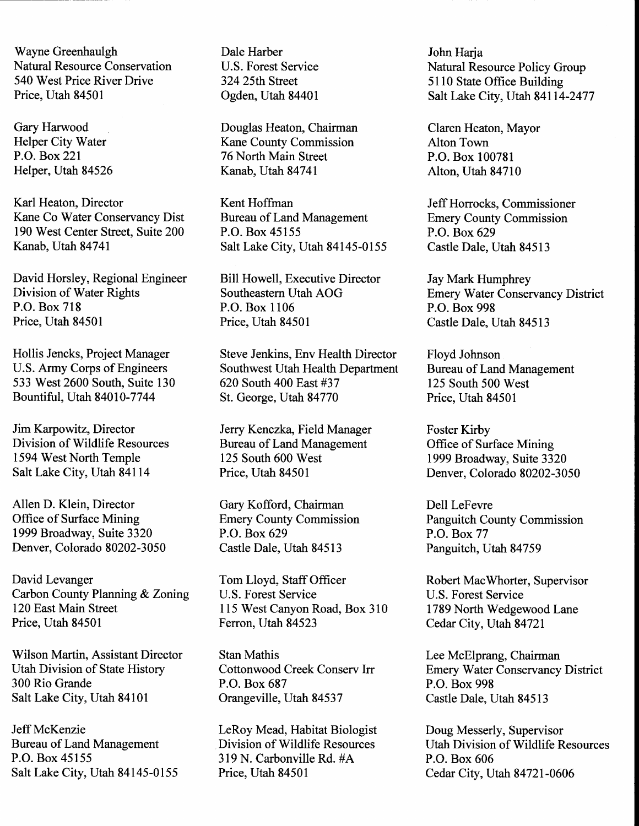Wayne Greenhaulgh Dale Harber Dale Flarber John Harja<br>
Natural Resource Conservation U.S. Forest Service Natural Res 540 West Price River Drive 324 25th Street 5110 State Office Building<br>Price, Utah 84501 0gden, Utah 84401 Salt Lake City, Utah 84114

Karl Heaton, Director Kent Hoffman Jeff Horrocks, Commissioner<br>
Kane Co Water Conservancy Dist Bureau of Land Management Emery County Commission 190 West Center Street, Suite 200 Kanab, Utah 84741

David Horsley, Regional Engineer Bill Howell, Executive Director Jay Mark Humphrey Division of Water Rights P.O. Box 718 Price, Utah 84501

Bountiful, Utah 84010-7744

Jim Karpowitz, Director Jerry Kenczka, Field Manager Foster Kirby<br>Division of Wildlife Resources Bureau of Land Management Office of Surface Mining Division of Wildlife Resources Bureau of Land Management<br>1594 West North Temple 125 South 600 West 1594 West North Temple 125 South 600 West 1999 Broadway, Suite 3320<br>
Salt Lake City, Utah 84114 Price, Utah 84501 Denver, Colorado 80202-30.

Allen D. Klein, Director Gary Kofford, Chairman Dell LeFevre<br>
Office of Surface Mining Emery County Commission Panguitch Co 1999 Broadway, Suite 3320 P.O. Box 629<br>Denver, Colorado 80202-3050 Castle Dale, Utah 84513 Denver, Colorado 80202-3050 Castle Dale, Utah 84513 Panguitch, Utah <sup>84759</sup>

David Levanger<br>
Carbon County Planning & Zoning<br>
U.S. Forest Service<br>
U.S. Forest Service<br>
Carbon County Planning & Zoning<br>
U.S. Forest Service<br>
U.S. Forest Service Carbon County Planning & Zoning<br>120 East Main Street 120 East Main Street 115 West Canyon Road, Box 310 1789 North Wedgewood Lane<br>Price, Utah 84501 Ferron, Utah 84523 Cedar City, Utah 84721

Wilson Martin, Assistant Director Stan Mathis Lee McElprang, Chairman<br>
Utah Division of State History Cottonwood Creek Conserv Irr Emery Water Conservancy <sup>300</sup>Rio Grande P.O. Box 687 P.O. Box <sup>998</sup> Salt Lake City, Utah 84101 Orangeville, Utah 84537 Castle Dale, Utah 84513

Jeff McKenzie LeRoy Mead, Habitat Biologist Doug Messerly, Supervisor<br>Bureau of Land Management Division of Wildlife Resources Utah Division of Wildlife R Salt Lake City, Utah 84145-0155 Price, Utah 84501 Cedar City, Utah 84721-0606

Gary Harwood Douglas Heaton, Chairman Claren Heaton, Mayor<br>
Helper City Water Kane County Commission Alton Town Helper City Water Kane County Commission<br>
P.O. Box 221 76 North Main Street P.O. Box 100781<br>
Kanab, Utah 84741 1 Alton, Utah 8471 Helper, Utah 84526 Kanab, Utah 84741 Alton, Utah 84710

> Bureau of Land Management Emery County Commission<br>P.O. Box 45155 P.O. Box 629 Salt Lake City, Utah 84145-0155 Castle Dale, Utah 84513

Southeastern Utah AOG P.O. Box 1106 Price, Utah 84501

Hollis Jencks, Project Manager Steve Jenkins, Env Health Director Floyd Johnson<br>
U.S. Army Corps of Engineers Southwest Utah Health Department Bureau of Land Management Southwest Utah Health Department 533 West 2600 South, Suite 130 620 South 400 East #37 125 South 500 West<br>Bountiful, Utah 84010-7744 St. George, Utah 84770 Price, Utah 84501

319 N. Carbonville Rd. #A P.O. Box 606<br>Price, Utah 84501 Cedar City, U

Natural Resource Conservation U.S. Forest Service Natural Resource Policy Group<br>540 West Price River Drive 324 25th Street 5110 State Office Building Salt Lake City, Utah 84114-2477

Emery Water Conservancy District P.O, Box 998 Castle Dale, Utah 84513

Denver, Colorado 80202-3050

Emery County Commission<br>
P.O. Box 629<br>
P.O. Box 77

Cedar City, Utah 84721

Utah Division of State History Cottonwood Creek Conserv Irr Emery Water Conservancy District<br>
200 Rio Grande P.O. Box 687 P.O. Box 998

Bureau of Land Management Division of Wildlife Resources Utah Division of Wildlife Resources<br>
P.O. Box 45155 319 N. Carbonville Rd. #A P.O. Box 606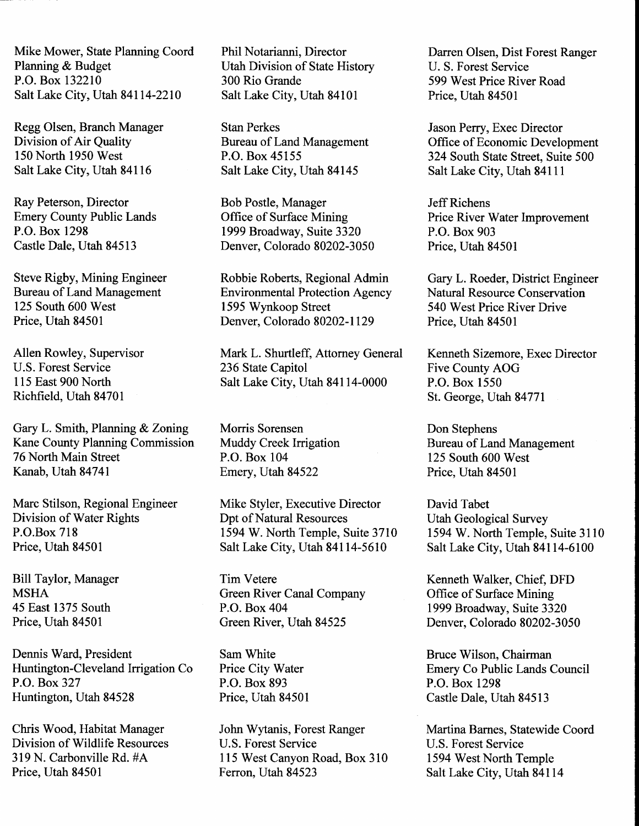Mike Mower, State Planning Coord Phil Notarianni, Director Darren Olsen, Dist Forest Ranger<br>Planning & Budget Utah Division of State History U.S. Forest Service Planning & Budget Utah Division of State History<br>P.O. Box 132210 300 Rio Grande Salt Lake City, Utah 84114-2210 Salt Lake City, Utah 84101 Price, Utah 84501

Richfield, Utah 84701

Gary L. Smith, Planning & Zoning Morris Sorensen<br>
Kane County Planning Commission Muddy Creek Irrigation Bureau of Land Management Kane County Planning Commission Muddy Creek Irrigation Bureau of Land Man<br>
76 North Main Street P.O. Box 104 125 South 600 West 76 North Main Street<br>Kanab, Utah 84741

Dennis Ward, President Sam White Huntington-Cleveland Irrigation Co Price City Water P.O. Box327 Huntington, Utah 84528

300 Rio Grande<br>
Salt Lake City, Utah 84101 Price, Utah 84501

Division of Air Quality<br>
150 North 1950 West<br>
2018 P.O. Box 45155 Salt Lake City, Utah 84145

Emery County Public Lands Office of Surface Mining Price River W<br>P.O. Box 1298 1999 Broadway, Suite 3320 P.O. Box 903 P.O. Box 1298<br>
Castle Dale, Utah 84513 1999 Broadway, Suite 3320 P.O. Box 903<br>
Denver, Colorado 80202-3050 Price, Utah 84501 Denver, Colorado 80202-3050

Steve Rigby, Mining Engineer Robbie Roberts, Regional Admin Gary L. Roeder, District Engineer<br>Bureau of Land Management Environmental Protection Agency Natural Resource Conservation Bureau of Land Management Environmental Protection Agency<br>125 South 600 West 1595 Wynkoop Street 125 South 600 West 1595 Wynkoop Street 540 West Price River Drive<br>Price, Utah 84501 Denver, Colorado 80202-1129 Price, Utah 84501 Denver, Colorado 80202-1129

Allen Rowley, Supervisor Mark L. Shurtleff, Attorney General Kenneth Sizemore, Exec Director<br>U.S. Forest Service 236 State Capitol Five County AOG U.S. Forest Service 236 State Capitol Five County Au 115 East 900 North Salt Lake City, Utah 84114-0000 P.O. Box 1550

Emery, Utah 84522 Price, Utah 84501

Marc Stilson, Regional Engineer Mike Styler, Executive Director David Tabet<br>
Division of Water Rights Dpt of Natural Resources Utah Geological Survey Division of Water Rights Dpt of Natural Resources<br>P.O.Box 718 1594 W. North Temple, Suite 3710 P.O.Box 718 1594 W. North Temple, Suite 3710 1594 W. North Temple, Suite 3110<br>Price, Utah 84501 Salt Lake City, Utah 84114-5610 Salt Lake City, Utah 84114-6100 Salt Lake City, Utah 84114-5610

Bill Taylor, Manager Tim Vetere Kenneth Walker, Chief, DFD<br>MSHA Green River Canal Company Office of Surface Mining MSHA<br>
45 East 1375 South P.O. Box 404 1999 Broadway, Suite 3320<br>
Price, Utah 84501 1999 Broadway, Suite 3320<br>
Price, Utah 84501 1999 Broadway, Suite 3320

> P.O. Box 893 Price, Utah 84501

Chris Wood, Habitat Manager John Wytanis, Forest Ranger Martina Barnes, Statewide Coord<br>Division of Wildlife Resources U.S. Forest Service U.S. Forest Service Division of Wildlife Resources U.S. Forest Service U.S. Forest Service U.S. Forest Service U.S. Forest Service<br>319 N. Carbonville Rd. #A 115 West Canyon Road, Box 310 1594 West North Temple 319 N. Carbonville Rd. #A 115 West Canyon Road, Box 310<br>Price, Utah 84501 Ferron, Utah 84523

Regg Olsen, Branch Manager Stan Perkes Jason Perry, Exec Director<br>
Division of Air Quality Bureau of Land Management Office of Economic Development 150 North 1950 West P.O. Box 45155 324 South State Street, Suite 500<br>Salt Lake City, Utah 84116 311 Lake City, Utah 84145 324 South State City, Utah 84111

Ray Peterson, Director **Bob Postle, Manager** Jeff Richens<br>
Emery County Public Lands Office of Surface Mining Price River Water Improvement

Salt Lake City, Utah 84114-0000 P.O. Box 1550<br>St. George, Utah 84771

Denver, Colorado 80202-3050

Bruce Wilson, Chairman Emery Co Public Lands Council P.O. Box 1298 Castle Dale, Utah 84513

Salt Lake City, Utah 84114